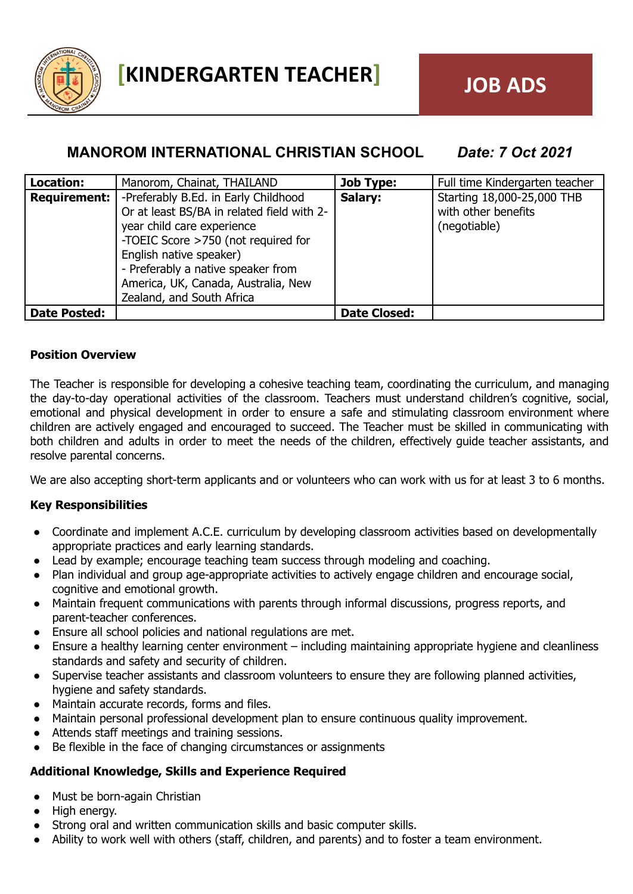

# **MANOROM INTERNATIONAL CHRISTIAN SCHOOL** *Date: 7 Oct 2021*

| Location:           | Manorom, Chainat, THAILAND                 | <b>Job Type:</b>    | Full time Kindergarten teacher |
|---------------------|--------------------------------------------|---------------------|--------------------------------|
| Requirement:        | -Preferably B.Ed. in Early Childhood       | Salary:             | Starting 18,000-25,000 THB     |
|                     | Or at least BS/BA in related field with 2- |                     | with other benefits            |
|                     | year child care experience                 |                     | (negotiable)                   |
|                     | -TOEIC Score >750 (not required for        |                     |                                |
|                     | English native speaker)                    |                     |                                |
|                     | - Preferably a native speaker from         |                     |                                |
|                     | America, UK, Canada, Australia, New        |                     |                                |
|                     | Zealand, and South Africa                  |                     |                                |
| <b>Date Posted:</b> |                                            | <b>Date Closed:</b> |                                |

### **Position Overview**

The Teacher is responsible for developing a cohesive teaching team, coordinating the curriculum, and managing the day-to-day operational activities of the classroom. Teachers must understand children's cognitive, social, emotional and physical development in order to ensure a safe and stimulating classroom environment where children are actively engaged and encouraged to succeed. The Teacher must be skilled in communicating with both children and adults in order to meet the needs of the children, effectively guide teacher assistants, and resolve parental concerns.

We are also accepting short-term applicants and or volunteers who can work with us for at least 3 to 6 months.

# **Key Responsibilities**

- Coordinate and implement A.C.E. curriculum by developing classroom activities based on developmentally appropriate practices and early learning standards.
- Lead by example; encourage teaching team success through modeling and coaching.
- Plan individual and group age-appropriate activities to actively engage children and encourage social, cognitive and emotional growth.
- Maintain frequent communications with parents through informal discussions, progress reports, and parent-teacher conferences.
- Ensure all school policies and national regulations are met.
- Ensure a healthy learning center environment including maintaining appropriate hygiene and cleanliness standards and safety and security of children.
- Supervise teacher assistants and classroom volunteers to ensure they are following planned activities, hygiene and safety standards.
- Maintain accurate records, forms and files.
- Maintain personal professional development plan to ensure continuous quality improvement.
- Attends staff meetings and training sessions.
- Be flexible in the face of changing circumstances or assignments

# **Additional Knowledge, Skills and Experience Required**

- Must be born-again Christian
- High energy.
- Strong oral and written communication skills and basic computer skills.
- Ability to work well with others (staff, children, and parents) and to foster a team environment.